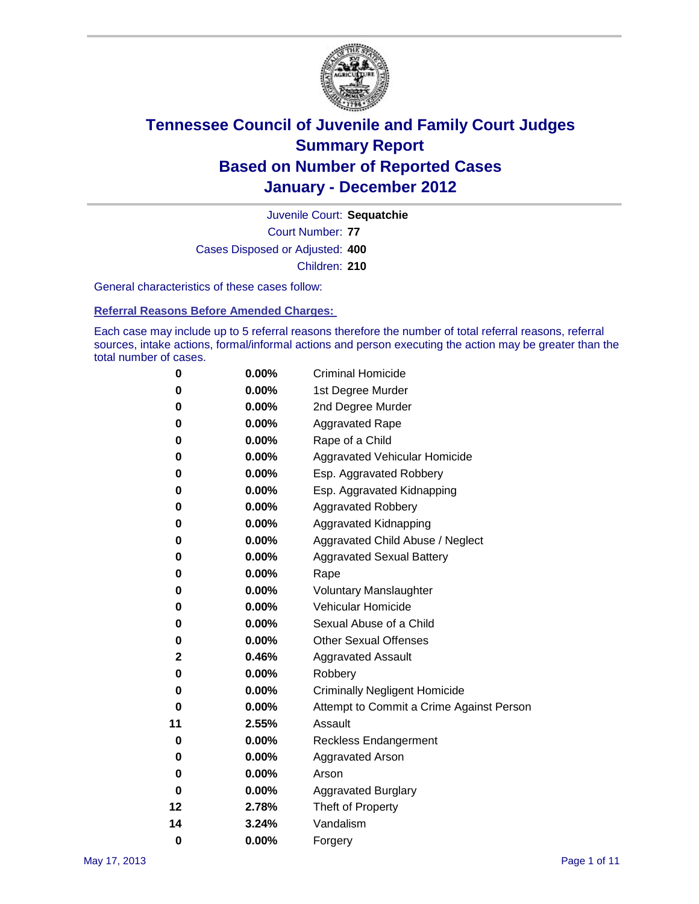

Court Number: **77** Juvenile Court: **Sequatchie** Cases Disposed or Adjusted: **400** Children: **210**

General characteristics of these cases follow:

**Referral Reasons Before Amended Charges:** 

Each case may include up to 5 referral reasons therefore the number of total referral reasons, referral sources, intake actions, formal/informal actions and person executing the action may be greater than the total number of cases.

| 0  | 0.00%    | <b>Criminal Homicide</b>                 |  |  |  |
|----|----------|------------------------------------------|--|--|--|
| 0  | 0.00%    | 1st Degree Murder                        |  |  |  |
| 0  | 0.00%    | 2nd Degree Murder                        |  |  |  |
| 0  | 0.00%    | <b>Aggravated Rape</b>                   |  |  |  |
| 0  | 0.00%    | Rape of a Child                          |  |  |  |
| 0  | 0.00%    | Aggravated Vehicular Homicide            |  |  |  |
| 0  | 0.00%    | Esp. Aggravated Robbery                  |  |  |  |
| 0  | 0.00%    | Esp. Aggravated Kidnapping               |  |  |  |
| 0  | 0.00%    | <b>Aggravated Robbery</b>                |  |  |  |
| 0  | 0.00%    | Aggravated Kidnapping                    |  |  |  |
| 0  | 0.00%    | Aggravated Child Abuse / Neglect         |  |  |  |
| 0  | $0.00\%$ | <b>Aggravated Sexual Battery</b>         |  |  |  |
| 0  | 0.00%    | Rape                                     |  |  |  |
| 0  | $0.00\%$ | <b>Voluntary Manslaughter</b>            |  |  |  |
| 0  | 0.00%    | Vehicular Homicide                       |  |  |  |
| 0  | 0.00%    | Sexual Abuse of a Child                  |  |  |  |
| 0  | 0.00%    | <b>Other Sexual Offenses</b>             |  |  |  |
| 2  | 0.46%    | <b>Aggravated Assault</b>                |  |  |  |
| 0  | $0.00\%$ | Robbery                                  |  |  |  |
| 0  | 0.00%    | <b>Criminally Negligent Homicide</b>     |  |  |  |
| 0  | 0.00%    | Attempt to Commit a Crime Against Person |  |  |  |
| 11 | 2.55%    | Assault                                  |  |  |  |
| 0  | 0.00%    | <b>Reckless Endangerment</b>             |  |  |  |
| 0  | 0.00%    | <b>Aggravated Arson</b>                  |  |  |  |
| 0  | 0.00%    | Arson                                    |  |  |  |
| 0  | 0.00%    | <b>Aggravated Burglary</b>               |  |  |  |
| 12 | 2.78%    | Theft of Property                        |  |  |  |
| 14 | 3.24%    | Vandalism                                |  |  |  |
| 0  | 0.00%    | Forgery                                  |  |  |  |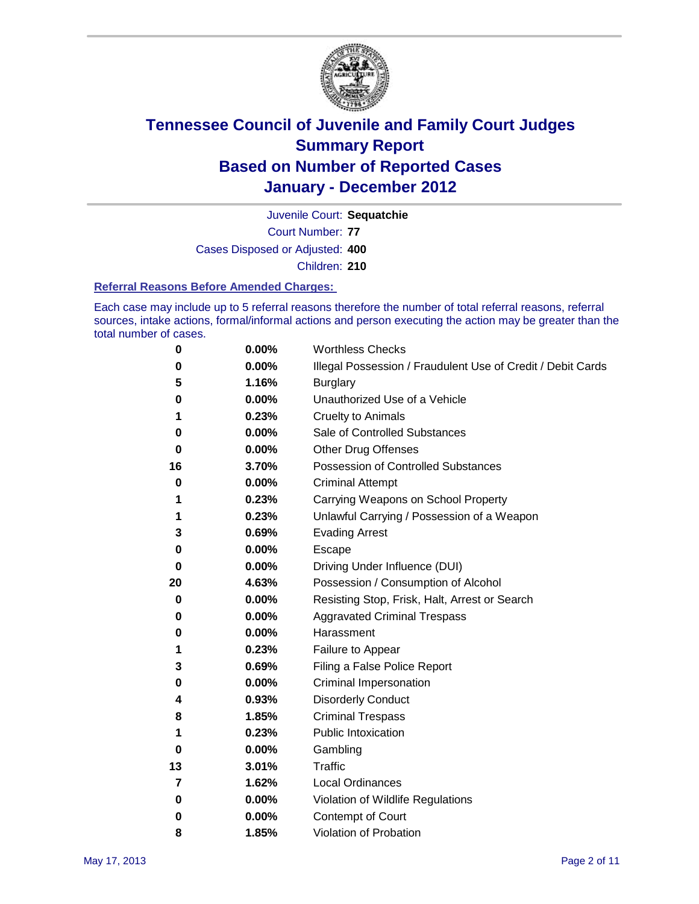

Court Number: **77** Juvenile Court: **Sequatchie** Cases Disposed or Adjusted: **400** Children: **210**

#### **Referral Reasons Before Amended Charges:**

Each case may include up to 5 referral reasons therefore the number of total referral reasons, referral sources, intake actions, formal/informal actions and person executing the action may be greater than the total number of cases.

| 0  | 0.00% | <b>Worthless Checks</b>                                     |  |  |  |
|----|-------|-------------------------------------------------------------|--|--|--|
| 0  | 0.00% | Illegal Possession / Fraudulent Use of Credit / Debit Cards |  |  |  |
| 5  | 1.16% | <b>Burglary</b>                                             |  |  |  |
| 0  | 0.00% | Unauthorized Use of a Vehicle                               |  |  |  |
| 1  | 0.23% | <b>Cruelty to Animals</b>                                   |  |  |  |
| 0  | 0.00% | Sale of Controlled Substances                               |  |  |  |
| 0  | 0.00% | <b>Other Drug Offenses</b>                                  |  |  |  |
| 16 | 3.70% | Possession of Controlled Substances                         |  |  |  |
| 0  | 0.00% | <b>Criminal Attempt</b>                                     |  |  |  |
| 1  | 0.23% | Carrying Weapons on School Property                         |  |  |  |
| 1  | 0.23% | Unlawful Carrying / Possession of a Weapon                  |  |  |  |
| 3  | 0.69% | <b>Evading Arrest</b>                                       |  |  |  |
| 0  | 0.00% | Escape                                                      |  |  |  |
| 0  | 0.00% | Driving Under Influence (DUI)                               |  |  |  |
| 20 | 4.63% | Possession / Consumption of Alcohol                         |  |  |  |
| 0  | 0.00% | Resisting Stop, Frisk, Halt, Arrest or Search               |  |  |  |
| 0  | 0.00% | <b>Aggravated Criminal Trespass</b>                         |  |  |  |
| 0  | 0.00% | Harassment                                                  |  |  |  |
| 1  | 0.23% | Failure to Appear                                           |  |  |  |
| 3  | 0.69% | Filing a False Police Report                                |  |  |  |
| 0  | 0.00% | Criminal Impersonation                                      |  |  |  |
| 4  | 0.93% | <b>Disorderly Conduct</b>                                   |  |  |  |
| 8  | 1.85% | <b>Criminal Trespass</b>                                    |  |  |  |
| 1  | 0.23% | <b>Public Intoxication</b>                                  |  |  |  |
| 0  | 0.00% | Gambling                                                    |  |  |  |
| 13 | 3.01% | Traffic                                                     |  |  |  |
| 7  | 1.62% | <b>Local Ordinances</b>                                     |  |  |  |
| 0  | 0.00% | Violation of Wildlife Regulations                           |  |  |  |
| 0  | 0.00% | Contempt of Court                                           |  |  |  |
| 8  | 1.85% | Violation of Probation                                      |  |  |  |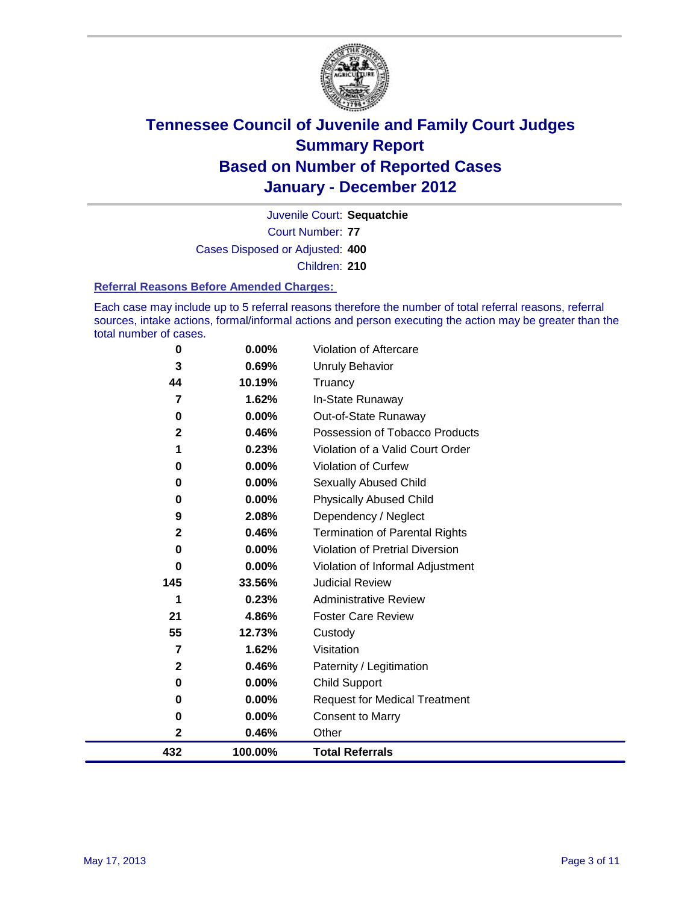

Court Number: **77** Juvenile Court: **Sequatchie** Cases Disposed or Adjusted: **400** Children: **210**

#### **Referral Reasons Before Amended Charges:**

Each case may include up to 5 referral reasons therefore the number of total referral reasons, referral sources, intake actions, formal/informal actions and person executing the action may be greater than the total number of cases.

| 0            | 0.00%    | Violation of Aftercare                 |
|--------------|----------|----------------------------------------|
| 3            | 0.69%    | Unruly Behavior                        |
| 44           | 10.19%   | Truancy                                |
| 7            | 1.62%    | In-State Runaway                       |
| 0            | 0.00%    | Out-of-State Runaway                   |
| $\mathbf{2}$ | 0.46%    | Possession of Tobacco Products         |
|              | 0.23%    | Violation of a Valid Court Order       |
| 0            | 0.00%    | Violation of Curfew                    |
| 0            | $0.00\%$ | <b>Sexually Abused Child</b>           |
| 0            | 0.00%    | <b>Physically Abused Child</b>         |
| 9            | 2.08%    | Dependency / Neglect                   |
| $\mathbf{2}$ | 0.46%    | <b>Termination of Parental Rights</b>  |
| 0            | $0.00\%$ | <b>Violation of Pretrial Diversion</b> |
| 0            | 0.00%    | Violation of Informal Adjustment       |
| 145          | 33.56%   | <b>Judicial Review</b>                 |
| 1            | 0.23%    | <b>Administrative Review</b>           |
| 21           | 4.86%    | <b>Foster Care Review</b>              |
| 55           | 12.73%   | Custody                                |
| 7            | 1.62%    | Visitation                             |
| 2            | 0.46%    | Paternity / Legitimation               |
| 0            | 0.00%    | <b>Child Support</b>                   |
| 0            | 0.00%    | <b>Request for Medical Treatment</b>   |
| 0            | 0.00%    | <b>Consent to Marry</b>                |
| $\mathbf{2}$ | 0.46%    | Other                                  |
| 432          | 100.00%  | <b>Total Referrals</b>                 |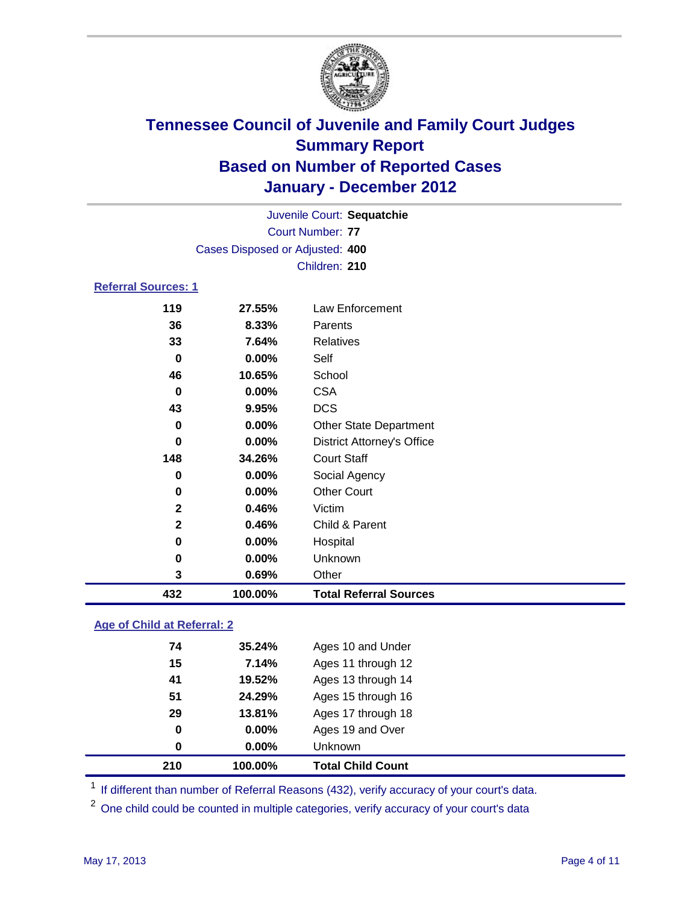

| 432                        | 100.00%                         | <b>Total Referral Sources</b>     |  |  |  |
|----------------------------|---------------------------------|-----------------------------------|--|--|--|
| 3                          | 0.69%                           | Other                             |  |  |  |
| 0                          | 0.00%                           | Unknown                           |  |  |  |
| 0                          | 0.00%                           | Hospital                          |  |  |  |
| $\mathbf{2}$               | 0.46%                           | Child & Parent                    |  |  |  |
| $\overline{2}$             | 0.46%                           | Victim                            |  |  |  |
| $\bf{0}$                   | 0.00%                           | <b>Other Court</b>                |  |  |  |
| $\mathbf 0$                | 0.00%                           | Social Agency                     |  |  |  |
| 148                        | 34.26%                          | <b>Court Staff</b>                |  |  |  |
| 0                          | 0.00%                           | <b>District Attorney's Office</b> |  |  |  |
| 0                          | 0.00%                           | <b>Other State Department</b>     |  |  |  |
| 43                         | 9.95%                           | <b>DCS</b>                        |  |  |  |
| $\bf{0}$                   | 0.00%                           | <b>CSA</b>                        |  |  |  |
| 46                         | 10.65%                          | School                            |  |  |  |
| $\bf{0}$                   | 0.00%                           | Self                              |  |  |  |
| 33                         | 7.64%                           | <b>Relatives</b>                  |  |  |  |
| 36                         | 8.33%                           | Parents                           |  |  |  |
| 119                        | 27.55%                          | Law Enforcement                   |  |  |  |
| <b>Referral Sources: 1</b> |                                 |                                   |  |  |  |
|                            | Children: 210                   |                                   |  |  |  |
|                            | Cases Disposed or Adjusted: 400 |                                   |  |  |  |
|                            | <b>Court Number: 77</b>         |                                   |  |  |  |
|                            | Juvenile Court: Sequatchie      |                                   |  |  |  |
|                            |                                 |                                   |  |  |  |

### **Age of Child at Referral: 2**

| 210 | 100.00% | <b>Total Child Count</b> |
|-----|---------|--------------------------|
| 0   | 0.00%   | <b>Unknown</b>           |
| 0   | 0.00%   | Ages 19 and Over         |
| 29  | 13.81%  | Ages 17 through 18       |
| 51  | 24.29%  | Ages 15 through 16       |
| 41  | 19.52%  | Ages 13 through 14       |
| 15  | 7.14%   | Ages 11 through 12       |
| 74  | 35.24%  | Ages 10 and Under        |
|     |         |                          |

<sup>1</sup> If different than number of Referral Reasons (432), verify accuracy of your court's data.

<sup>2</sup> One child could be counted in multiple categories, verify accuracy of your court's data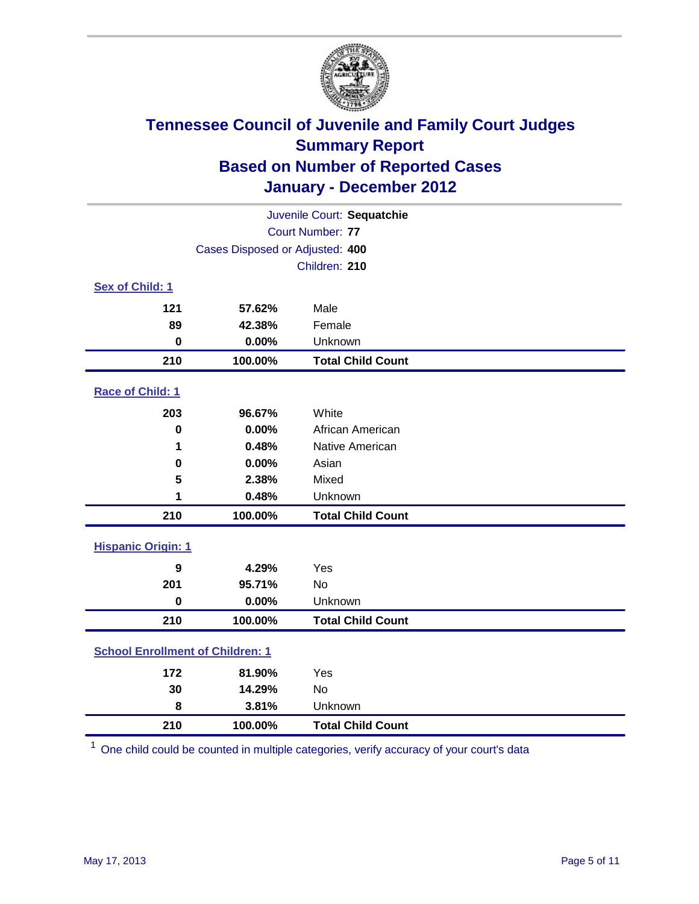

| Juvenile Court: Sequatchie              |                                 |                          |  |  |
|-----------------------------------------|---------------------------------|--------------------------|--|--|
| <b>Court Number: 77</b>                 |                                 |                          |  |  |
|                                         | Cases Disposed or Adjusted: 400 |                          |  |  |
|                                         |                                 | Children: 210            |  |  |
| Sex of Child: 1                         |                                 |                          |  |  |
| 121                                     | 57.62%                          | Male                     |  |  |
| 89                                      | 42.38%                          | Female                   |  |  |
| $\mathbf 0$                             | 0.00%                           | Unknown                  |  |  |
| 210                                     | 100.00%                         | <b>Total Child Count</b> |  |  |
| Race of Child: 1                        |                                 |                          |  |  |
| 203                                     | 96.67%                          | White                    |  |  |
| $\mathbf 0$                             | 0.00%                           | African American         |  |  |
| 1                                       | 0.48%                           | Native American          |  |  |
| 0                                       | 0.00%                           | Asian                    |  |  |
| 5                                       | 2.38%                           | Mixed                    |  |  |
| 1                                       | 0.48%                           | Unknown                  |  |  |
| 210                                     | 100.00%                         | <b>Total Child Count</b> |  |  |
| <b>Hispanic Origin: 1</b>               |                                 |                          |  |  |
| 9                                       | 4.29%                           | Yes                      |  |  |
| 201                                     | 95.71%                          | No                       |  |  |
| $\mathbf 0$                             | 0.00%                           | Unknown                  |  |  |
| 210                                     | 100.00%                         | <b>Total Child Count</b> |  |  |
| <b>School Enrollment of Children: 1</b> |                                 |                          |  |  |
| 172                                     | 81.90%                          | Yes                      |  |  |
| 30                                      | 14.29%                          | No                       |  |  |
| 8                                       | 3.81%                           | Unknown                  |  |  |
| 210                                     | 100.00%                         | <b>Total Child Count</b> |  |  |

One child could be counted in multiple categories, verify accuracy of your court's data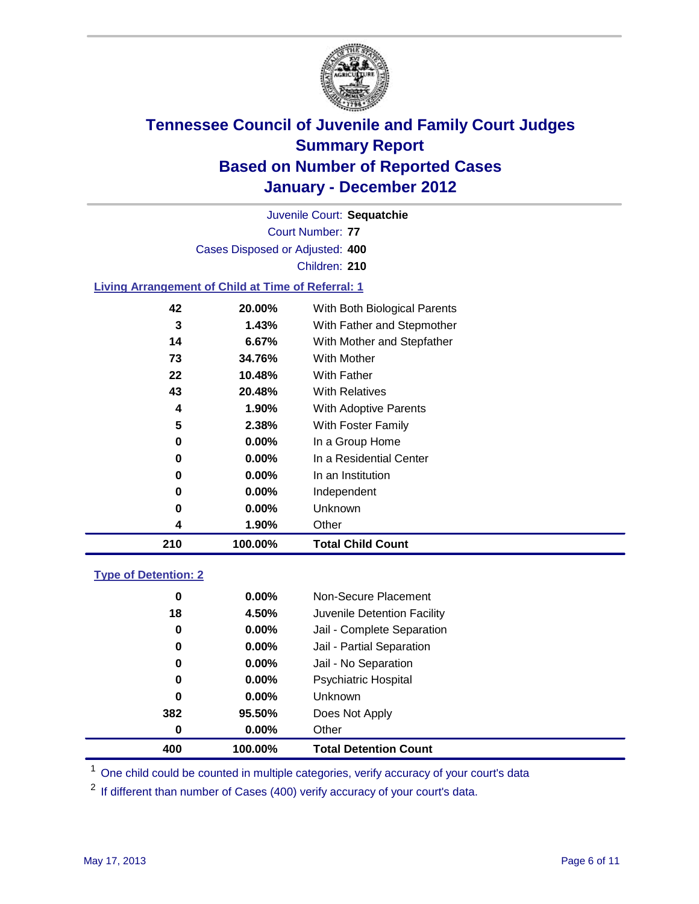

Court Number: **77** Juvenile Court: **Sequatchie** Cases Disposed or Adjusted: **400** Children: **210**

### **Living Arrangement of Child at Time of Referral: 1**

| 210 | 100.00%  | <b>Total Child Count</b>     |
|-----|----------|------------------------------|
| 4   | 1.90%    | Other                        |
| 0   | $0.00\%$ | Unknown                      |
| 0   | $0.00\%$ | Independent                  |
| 0   | 0.00%    | In an Institution            |
| 0   | $0.00\%$ | In a Residential Center      |
| 0   | 0.00%    | In a Group Home              |
| 5   | 2.38%    | With Foster Family           |
| 4   | 1.90%    | With Adoptive Parents        |
| 43  | 20.48%   | <b>With Relatives</b>        |
| 22  | 10.48%   | <b>With Father</b>           |
| 73  | 34.76%   | With Mother                  |
| 14  | 6.67%    | With Mother and Stepfather   |
| 3   | 1.43%    | With Father and Stepmother   |
| 42  | 20.00%   | With Both Biological Parents |
|     |          |                              |

### **Type of Detention: 2**

| 400 | 100.00%  | <b>Total Detention Count</b> |  |
|-----|----------|------------------------------|--|
| 0   | 0.00%    | Other                        |  |
| 382 | 95.50%   | Does Not Apply               |  |
| 0   | $0.00\%$ | Unknown                      |  |
| 0   | $0.00\%$ | Psychiatric Hospital         |  |
| 0   | 0.00%    | Jail - No Separation         |  |
| 0   | $0.00\%$ | Jail - Partial Separation    |  |
| 0   | $0.00\%$ | Jail - Complete Separation   |  |
| 18  | 4.50%    | Juvenile Detention Facility  |  |
| 0   | $0.00\%$ | Non-Secure Placement         |  |
|     |          |                              |  |

<sup>1</sup> One child could be counted in multiple categories, verify accuracy of your court's data

<sup>2</sup> If different than number of Cases (400) verify accuracy of your court's data.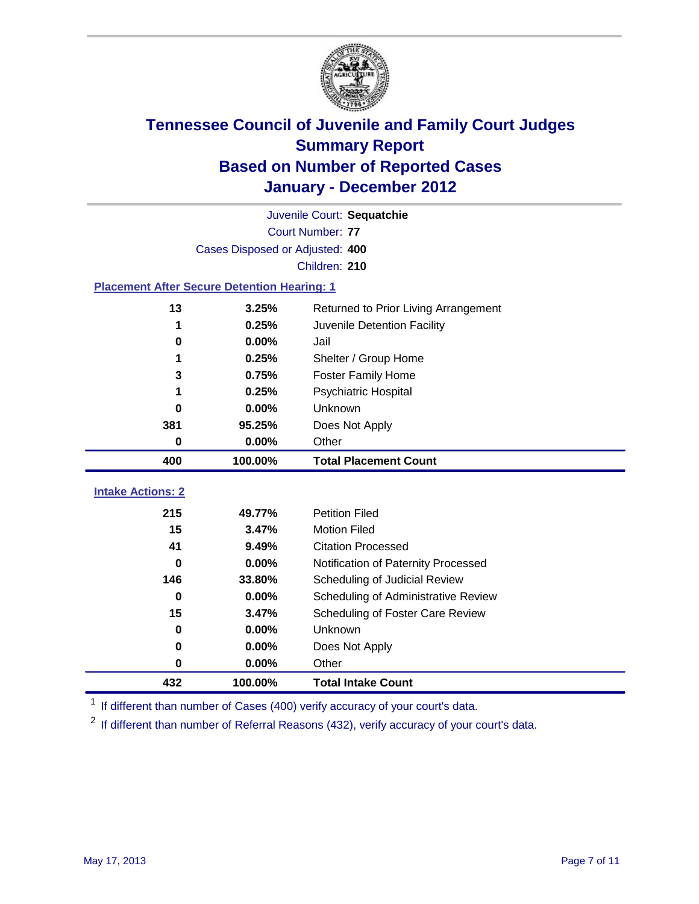

|                                                    | Juvenile Court: Sequatchie      |                                      |  |  |  |
|----------------------------------------------------|---------------------------------|--------------------------------------|--|--|--|
|                                                    | <b>Court Number: 77</b>         |                                      |  |  |  |
|                                                    | Cases Disposed or Adjusted: 400 |                                      |  |  |  |
|                                                    |                                 | Children: 210                        |  |  |  |
| <b>Placement After Secure Detention Hearing: 1</b> |                                 |                                      |  |  |  |
| 13                                                 | 3.25%                           | Returned to Prior Living Arrangement |  |  |  |
| 1                                                  | 0.25%                           | Juvenile Detention Facility          |  |  |  |
| $\bf{0}$                                           | 0.00%                           | Jail                                 |  |  |  |
| 1                                                  | 0.25%                           | Shelter / Group Home                 |  |  |  |
| 3                                                  | 0.75%                           | <b>Foster Family Home</b>            |  |  |  |
|                                                    | 0.25%                           | <b>Psychiatric Hospital</b>          |  |  |  |
| 0                                                  | 0.00%                           | Unknown                              |  |  |  |
| 381                                                | 95.25%                          | Does Not Apply                       |  |  |  |
| $\bf{0}$                                           | 0.00%                           | Other                                |  |  |  |
| 400                                                | 100.00%                         | <b>Total Placement Count</b>         |  |  |  |
| <b>Intake Actions: 2</b>                           |                                 |                                      |  |  |  |
| 215                                                |                                 |                                      |  |  |  |
|                                                    | 49.77%                          | <b>Petition Filed</b>                |  |  |  |
| 15                                                 | 3.47%                           | <b>Motion Filed</b>                  |  |  |  |
| 41                                                 | 9.49%                           | <b>Citation Processed</b>            |  |  |  |
| 0                                                  | 0.00%                           | Notification of Paternity Processed  |  |  |  |
| 146                                                | 33.80%                          | Scheduling of Judicial Review        |  |  |  |
| $\bf{0}$                                           | 0.00%                           | Scheduling of Administrative Review  |  |  |  |
| 15                                                 | 3.47%                           | Scheduling of Foster Care Review     |  |  |  |
| $\mathbf 0$                                        | 0.00%                           | Unknown                              |  |  |  |
| 0                                                  | 0.00%                           | Does Not Apply                       |  |  |  |
| $\pmb{0}$                                          | 0.00%                           | Other                                |  |  |  |

<sup>1</sup> If different than number of Cases (400) verify accuracy of your court's data.

<sup>2</sup> If different than number of Referral Reasons (432), verify accuracy of your court's data.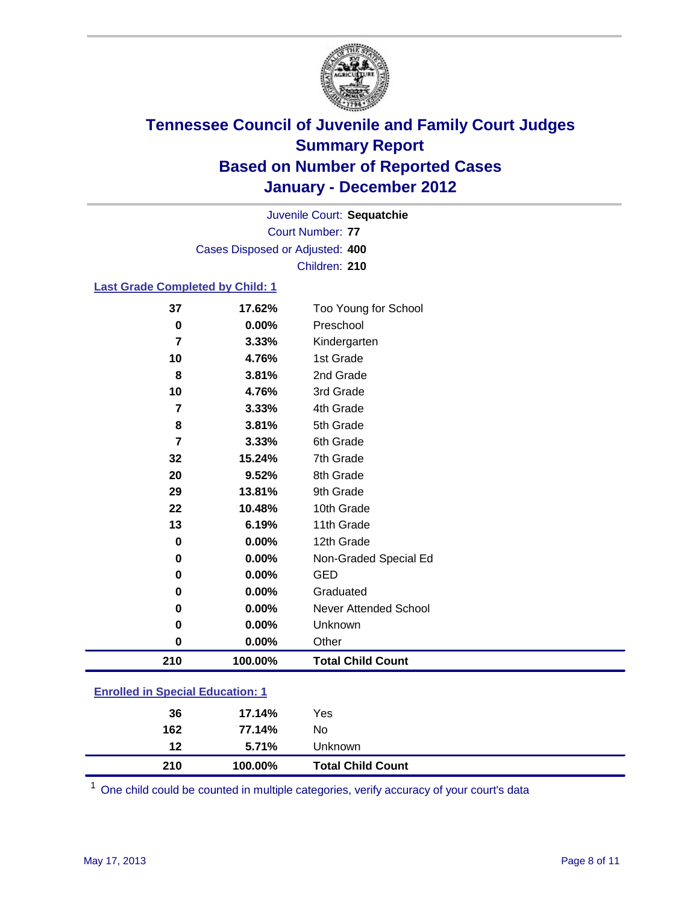

Court Number: **77** Juvenile Court: **Sequatchie** Cases Disposed or Adjusted: **400** Children: **210**

### **Last Grade Completed by Child: 1**

| 37                                      | 17.62%     | Too Young for School         |  |
|-----------------------------------------|------------|------------------------------|--|
| $\bf{0}$                                | 0.00%      | Preschool                    |  |
| 7                                       | 3.33%      | Kindergarten                 |  |
| 10                                      | 4.76%      | 1st Grade                    |  |
| 8                                       | 3.81%      | 2nd Grade                    |  |
| 10                                      | 4.76%      | 3rd Grade                    |  |
| 7                                       | 3.33%      | 4th Grade                    |  |
| 8                                       | 3.81%      | 5th Grade                    |  |
| $\overline{7}$                          | 3.33%      | 6th Grade                    |  |
| 32                                      | 15.24%     | 7th Grade                    |  |
| 20                                      | 9.52%      | 8th Grade                    |  |
| 29                                      | 13.81%     | 9th Grade                    |  |
| 22                                      | 10.48%     | 10th Grade                   |  |
| 13                                      | 6.19%      | 11th Grade                   |  |
| $\bf{0}$                                | 0.00%      | 12th Grade                   |  |
| $\bf{0}$                                | 0.00%      | Non-Graded Special Ed        |  |
| 0                                       | 0.00%      | <b>GED</b>                   |  |
| 0                                       | 0.00%      | Graduated                    |  |
| 0                                       | 0.00%      | <b>Never Attended School</b> |  |
| $\bf{0}$                                | 0.00%      | Unknown                      |  |
| $\bf{0}$                                | 0.00%      | Other                        |  |
| 210                                     | 100.00%    | <b>Total Child Count</b>     |  |
| <b>Enrolled in Special Education: 1</b> |            |                              |  |
| 36                                      | 17 1 1 0 / | Voc                          |  |
|                                         |            |                              |  |

| 210 | 100.00% | <b>Total Child Count</b> |
|-----|---------|--------------------------|
| 12  | 5.71%   | Unknown                  |
| 162 | 77.14%  | No                       |
| 36  | 17.14%  | Yes                      |

One child could be counted in multiple categories, verify accuracy of your court's data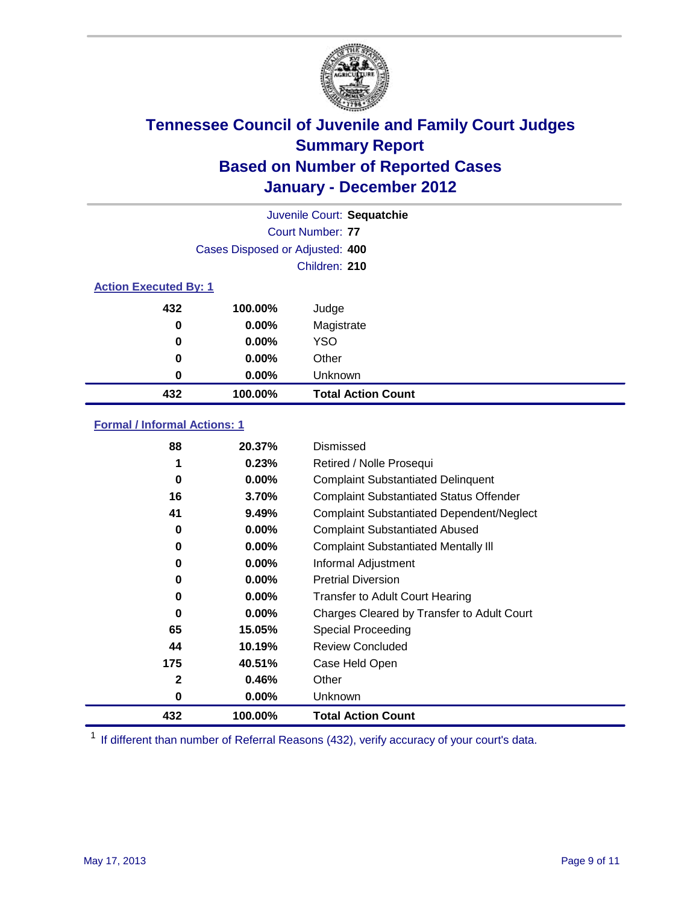

|                              |                                 | Juvenile Court: Sequatchie |
|------------------------------|---------------------------------|----------------------------|
|                              |                                 | Court Number: 77           |
|                              | Cases Disposed or Adjusted: 400 |                            |
|                              |                                 | Children: 210              |
| <b>Action Executed By: 1</b> |                                 |                            |
| 432                          | 100.00%                         | Judge                      |
| 0                            | $0.00\%$                        | Magistrate                 |
| $\bf{0}$                     | 0.00%                           | <b>YSO</b>                 |
| 0                            | $0.00\%$                        | Other                      |
| 0                            | 0.00%                           | Unknown                    |
| 432                          | 100.00%                         | <b>Total Action Count</b>  |

### **Formal / Informal Actions: 1**

| 88           | 20.37%   | Dismissed                                        |
|--------------|----------|--------------------------------------------------|
|              | 0.23%    | Retired / Nolle Prosequi                         |
| 0            | $0.00\%$ | <b>Complaint Substantiated Delinquent</b>        |
| 16           | 3.70%    | <b>Complaint Substantiated Status Offender</b>   |
| 41           | 9.49%    | <b>Complaint Substantiated Dependent/Neglect</b> |
| 0            | $0.00\%$ | <b>Complaint Substantiated Abused</b>            |
| 0            | $0.00\%$ | <b>Complaint Substantiated Mentally III</b>      |
| 0            | $0.00\%$ | Informal Adjustment                              |
| 0            | $0.00\%$ | <b>Pretrial Diversion</b>                        |
| 0            | $0.00\%$ | <b>Transfer to Adult Court Hearing</b>           |
| 0            | $0.00\%$ | Charges Cleared by Transfer to Adult Court       |
| 65           | 15.05%   | Special Proceeding                               |
| 44           | 10.19%   | <b>Review Concluded</b>                          |
| 175          | 40.51%   | Case Held Open                                   |
| $\mathbf{2}$ | 0.46%    | Other                                            |
| 0            | $0.00\%$ | Unknown                                          |
| 432          | 100.00%  | <b>Total Action Count</b>                        |

<sup>1</sup> If different than number of Referral Reasons (432), verify accuracy of your court's data.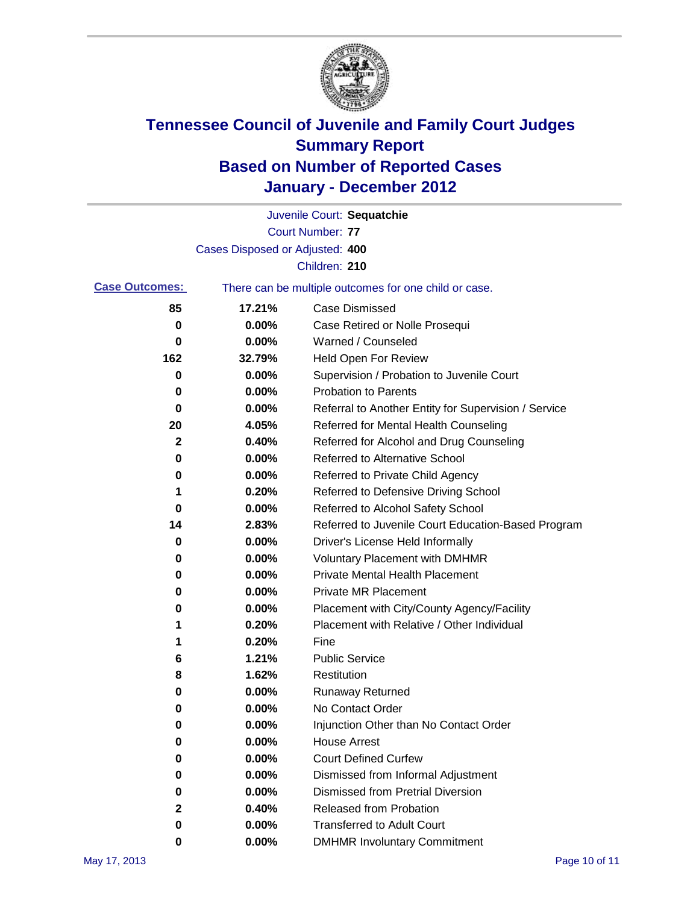

|                       |                                 | Juvenile Court: Sequatchie                            |
|-----------------------|---------------------------------|-------------------------------------------------------|
|                       |                                 | <b>Court Number: 77</b>                               |
|                       | Cases Disposed or Adjusted: 400 |                                                       |
|                       |                                 | Children: 210                                         |
| <b>Case Outcomes:</b> |                                 | There can be multiple outcomes for one child or case. |
| 85                    | 17.21%                          | <b>Case Dismissed</b>                                 |
| 0                     | $0.00\%$                        | Case Retired or Nolle Prosequi                        |
| 0                     | 0.00%                           | Warned / Counseled                                    |
| 162                   | 32.79%                          | <b>Held Open For Review</b>                           |
| 0                     | 0.00%                           | Supervision / Probation to Juvenile Court             |
| 0                     | 0.00%                           | <b>Probation to Parents</b>                           |
| 0                     | 0.00%                           | Referral to Another Entity for Supervision / Service  |
| 20                    | 4.05%                           | Referred for Mental Health Counseling                 |
| 2                     | 0.40%                           | Referred for Alcohol and Drug Counseling              |
| 0                     | 0.00%                           | <b>Referred to Alternative School</b>                 |
| 0                     | 0.00%                           | Referred to Private Child Agency                      |
| 1                     | 0.20%                           | Referred to Defensive Driving School                  |
| 0                     | 0.00%                           | Referred to Alcohol Safety School                     |
| 14                    | 2.83%                           | Referred to Juvenile Court Education-Based Program    |
| 0                     | 0.00%                           | Driver's License Held Informally                      |
| 0                     | 0.00%                           | <b>Voluntary Placement with DMHMR</b>                 |
| 0                     | 0.00%                           | <b>Private Mental Health Placement</b>                |
| 0                     | 0.00%                           | <b>Private MR Placement</b>                           |
| 0                     | 0.00%                           | Placement with City/County Agency/Facility            |
| 1                     | 0.20%                           | Placement with Relative / Other Individual            |
| 1                     | 0.20%                           | Fine                                                  |
| 6                     | 1.21%                           | <b>Public Service</b>                                 |
| 8                     | 1.62%                           | Restitution                                           |
| 0                     | 0.00%                           | <b>Runaway Returned</b>                               |
| 0                     | 0.00%                           | No Contact Order                                      |
| 0                     | 0.00%                           | Injunction Other than No Contact Order                |
| 0                     | 0.00%                           | <b>House Arrest</b>                                   |
| 0                     | 0.00%                           | <b>Court Defined Curfew</b>                           |
| 0                     | 0.00%                           | Dismissed from Informal Adjustment                    |
| 0                     | 0.00%                           | <b>Dismissed from Pretrial Diversion</b>              |
| 2                     | 0.40%                           | Released from Probation                               |
| 0                     | 0.00%                           | <b>Transferred to Adult Court</b>                     |
| 0                     | $0.00\%$                        | <b>DMHMR Involuntary Commitment</b>                   |